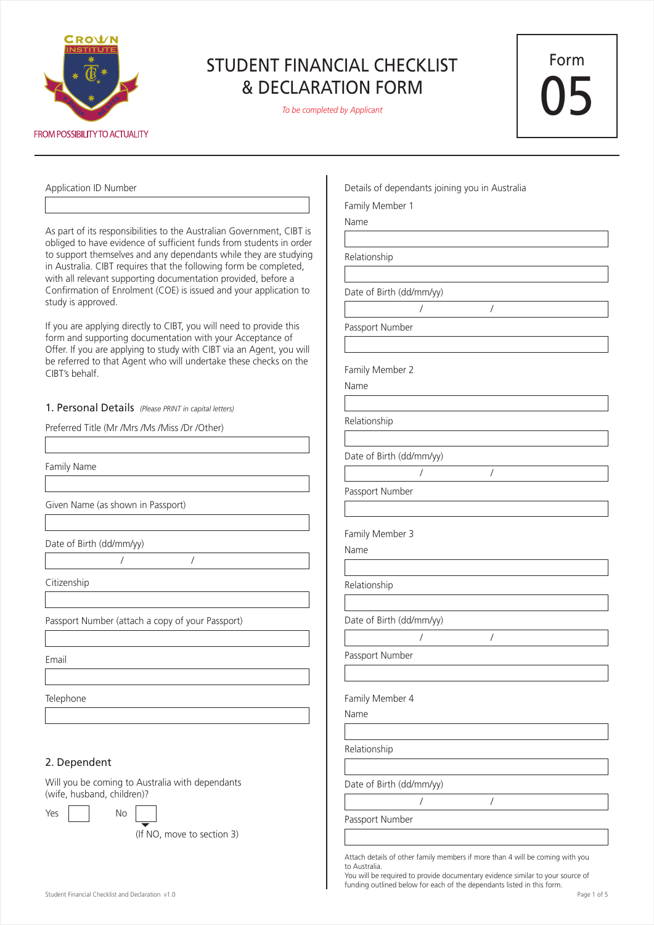

*To be completed by Applicant*

 $\overline{1}$ 

Form 05

| Application ID Number                                                                                                                        | Details of dependants joining you in Australia |
|----------------------------------------------------------------------------------------------------------------------------------------------|------------------------------------------------|
|                                                                                                                                              | Family Member 1                                |
|                                                                                                                                              | Name                                           |
| As part of its responsibilities to the Australian Government, CIBT is<br>obliged to have evidence of sufficient funds from students in order |                                                |
| to support themselves and any dependants while they are studying                                                                             | Relationship                                   |
| in Australia. CIBT requires that the following form be completed,                                                                            |                                                |
| with all relevant supporting documentation provided, before a                                                                                |                                                |
| Confirmation of Enrolment (COE) is issued and your application to<br>study is approved.                                                      | Date of Birth (dd/mm/yy)                       |
|                                                                                                                                              | $\sqrt{2}$                                     |
| If you are applying directly to CIBT, you will need to provide this                                                                          | Passport Number                                |
| form and supporting documentation with your Acceptance of<br>Offer. If you are applying to study with CIBT via an Agent, you will            |                                                |
| be referred to that Agent who will undertake these checks on the                                                                             |                                                |
| CIBT's behalf.                                                                                                                               | Family Member 2                                |
|                                                                                                                                              | Name                                           |
| 1. Personal Details (Please PRINT in capital letters)                                                                                        |                                                |
| Preferred Title (Mr /Mrs /Ms /Miss /Dr /Other)                                                                                               | Relationship                                   |
|                                                                                                                                              |                                                |
|                                                                                                                                              | Date of Birth (dd/mm/yy)                       |
| Family Name                                                                                                                                  | $\overline{1}$                                 |
|                                                                                                                                              | Passport Number                                |
| Given Name (as shown in Passport)                                                                                                            |                                                |
|                                                                                                                                              |                                                |
|                                                                                                                                              | Family Member 3                                |
| Date of Birth (dd/mm/yy)                                                                                                                     | Name                                           |
|                                                                                                                                              |                                                |
| Citizenship                                                                                                                                  | Relationship                                   |
|                                                                                                                                              |                                                |
| Passport Number (attach a copy of your Passport)                                                                                             | Date of Birth (dd/mm/yy)                       |
|                                                                                                                                              | $\sqrt{2}$                                     |
|                                                                                                                                              |                                                |
| Email                                                                                                                                        | Passport Number                                |
|                                                                                                                                              |                                                |
| Telephone                                                                                                                                    | Family Member 4                                |
|                                                                                                                                              | Name                                           |
|                                                                                                                                              |                                                |
|                                                                                                                                              | Relationship                                   |
| 2. Dependent                                                                                                                                 |                                                |
| Will you be coming to Australia with dependants                                                                                              |                                                |
| (wife, husband, children)?                                                                                                                   | Date of Birth (dd/mm/yy)                       |
| No<br>Yes                                                                                                                                    | $\sqrt{2}$                                     |
|                                                                                                                                              | Passport Number                                |
| (If NO, move to section 3)                                                                                                                   |                                                |
|                                                                                                                                              |                                                |

You will be required to provide documentary evidence similar to your source of funding outlined below for each of the dependants listed in this form.

Attach details of other family members if more than 4 will be coming with you

to Australia.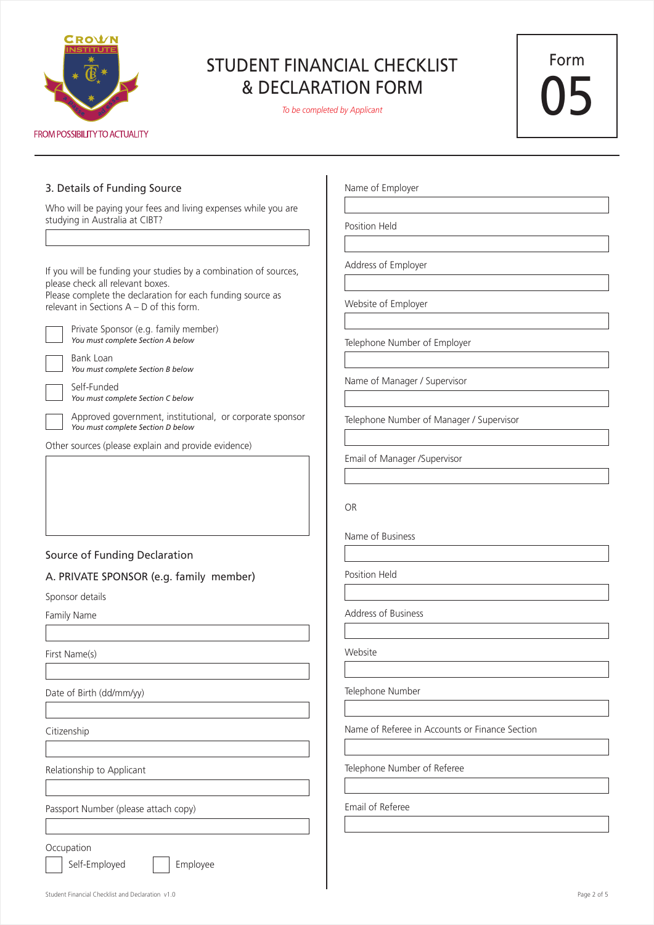

*To be completed by Applicant*

Form 05

#### 3. Details of Funding Source

Who will be paying your fees and living expenses while you are studying in Australia at CIBT?

If you will be funding your studies by a combination of sources, please check all relevant boxes.

Please complete the declaration for each funding source as relevant in Sections A – D of this form.



Private Sponsor (e.g. family member) *You must complete Section A below*

Bank Loan *You must complete Section B below*

Self-Funded *You must complete Section C below*

Approved government, institutional, or corporate sponsor *You must complete Section D below*

Other sources (please explain and provide evidence)

## Source of Funding Declaration

#### A. PRIVATE SPONSOR (e.g. family member)

Sponsor details

Family Name

First Name(s)

Date of Birth (dd/mm/yy)

Citizenship

Relationship to Applicant

Passport Number (please attach copy)

**Occupation** 

Self-Employed | Employee

Name of Employer

Position Held

Address of Employer

Website of Employer

Telephone Number of Employer

Name of Manager / Supervisor

Telephone Number of Manager / Supervisor

Email of Manager /Supervisor

OR

Name of Business

Position Held

Address of Business

Website

Telephone Number

Name of Referee in Accounts or Finance Section

Telephone Number of Referee

Email of Referee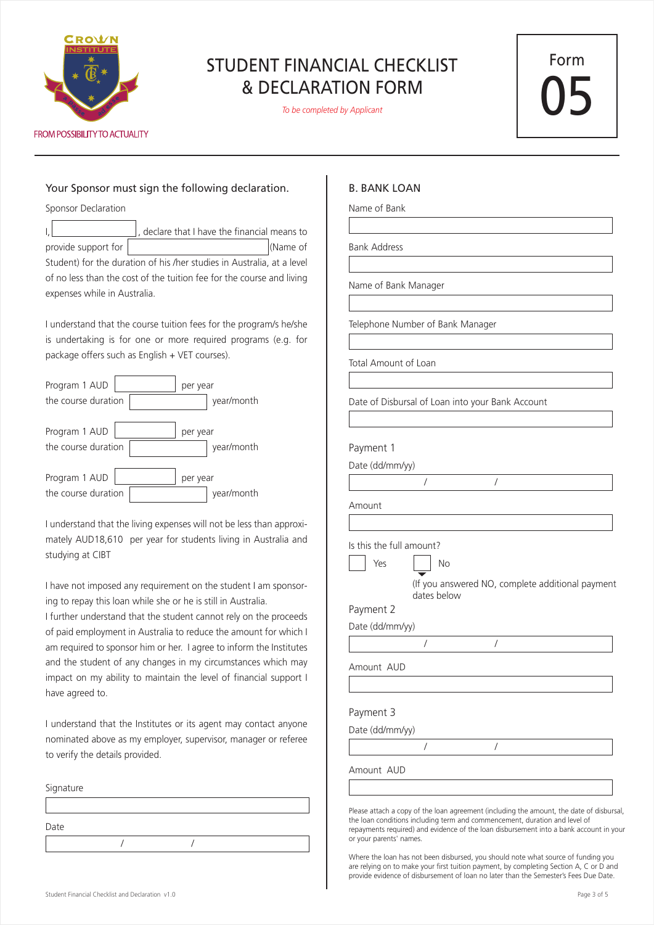

*To be completed by Applicant*

Form 05

## Your Sponsor must sign the following declaration.

Sponsor Declaration

declare that I have the financial means to provide support for  $\vert$  (Name of Student) for the duration of his /her studies in Australia, at a level of no less than the cost of the tuition fee for the course and living expenses while in Australia.

I understand that the course tuition fees for the program/s he/she is undertaking is for one or more required programs (e.g. for package offers such as English + VET courses).

| Program 1 AUD       | per year   |
|---------------------|------------|
| the course duration | year/month |
| Program 1 AUD       | per year   |
| the course duration | year/month |
| Program 1 AUD       | per year   |
| the course duration | year/month |

I understand that the living expenses will not be less than approximately AUD18,610 per year for students living in Australia and studying at CIBT

I have not imposed any requirement on the student I am sponsoring to repay this loan while she or he is still in Australia.

I further understand that the student cannot rely on the proceeds of paid employment in Australia to reduce the amount for which I am required to sponsor him or her. I agree to inform the Institutes and the student of any changes in my circumstances which may impact on my ability to maintain the level of financial support I have agreed to.

I understand that the Institutes or its agent may contact anyone nominated above as my employer, supervisor, manager or referee to verify the details provided.

 / / Signature Date

#### B. BANK LOAN

Name of Bank

Bank Address

Name of Bank Manager

Telephone Number of Bank Manager

Total Amount of Loan

Date of Disbursal of Loan into your Bank Account

Payment 1

Date (dd/mm/yy)



Amount

Is this the full amount?

Yes No (If you answered NO, complete additional payment dates below

Payment 2

Date (dd/mm/yy)

/ /

/ /

Amount AUD

#### Payment 3

Date (dd/mm/yy)

Amount AUD

Please attach a copy of the loan agreement (including the amount, the date of disbursal, the loan conditions including term and commencement, duration and level of repayments required) and evidence of the loan disbursement into a bank account in your or your parents' names.

Where the loan has not been disbursed, you should note what source of funding you are relying on to make your first tuition payment, by completing Section A, C or D and provide evidence of disbursement of loan no later than the Semester's Fees Due Date.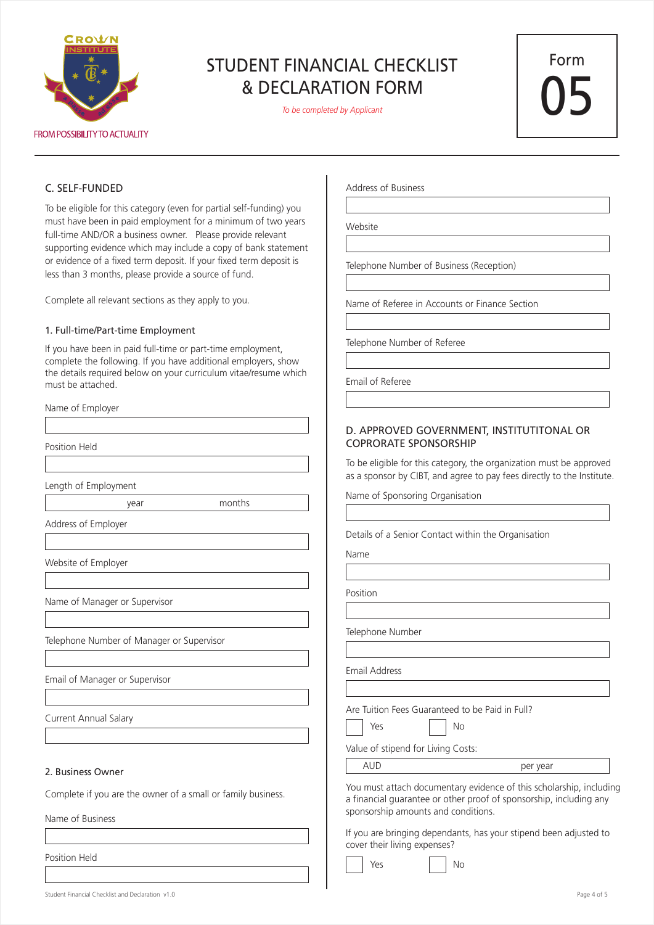

*To be completed by Applicant*

Form 05

#### C. SELF-FUNDED

Name of Employer

To be eligible for this category (even for partial self-funding) you must have been in paid employment for a minimum of two years full-time AND/OR a business owner. Please provide relevant supporting evidence which may include a copy of bank statement or evidence of a fixed term deposit. If your fixed term deposit is less than 3 months, please provide a source of fund.

Complete all relevant sections as they apply to you.

#### 1. Full-time/Part-time Employment

If you have been in paid full-time or part-time employment, complete the following. If you have additional employers, show the details required below on your curriculum vitae/resume which must be attached.

| <b>IVALLIC OF EMPIOYCI</b>                |                                                |
|-------------------------------------------|------------------------------------------------|
|                                           |                                                |
| Position Held                             |                                                |
|                                           |                                                |
| Length of Employment                      |                                                |
| year                                      | months                                         |
| Address of Employer                       |                                                |
|                                           |                                                |
| Website of Employer                       |                                                |
|                                           |                                                |
| Name of Manager or Supervisor             |                                                |
|                                           |                                                |
| Telephone Number of Manager or Supervisor |                                                |
|                                           |                                                |
| Email of Manager or Supervisor            |                                                |
|                                           |                                                |
| Current Annual Salary                     |                                                |
|                                           |                                                |
|                                           |                                                |
| 2. Business Owner                         |                                                |
| $\sigma = 1.02$ and $\sigma = 1.00$       | $\mathbf{r}$ and $\mathbf{r}$ and $\mathbf{r}$ |

Complete if you are the owner of a small or family business.

Name of Business

Position Held

Address of Business

Website

Telephone Number of Business (Reception)

Name of Referee in Accounts or Finance Section

Telephone Number of Referee

Email of Referee

#### D. APPROVED GOVERNMENT, INSTITUTITONAL OR COPRORATE SPONSORSHIP

To be eligible for this category, the organization must be approved as a sponsor by CIBT, and agree to pay fees directly to the Institute.

Name of Sponsoring Organisation

Details of a Senior Contact within the Organisation

Name

Position

Telephone Number

Email Address

Are Tuition Fees Guaranteed to be Paid in Full?

Yes No

Value of stipend for Living Costs:

AUD per year

You must attach documentary evidence of this scholarship, including a financial guarantee or other proof of sponsorship, including any sponsorship amounts and conditions.

If you are bringing dependants, has your stipend been adjusted to cover their living expenses?

No